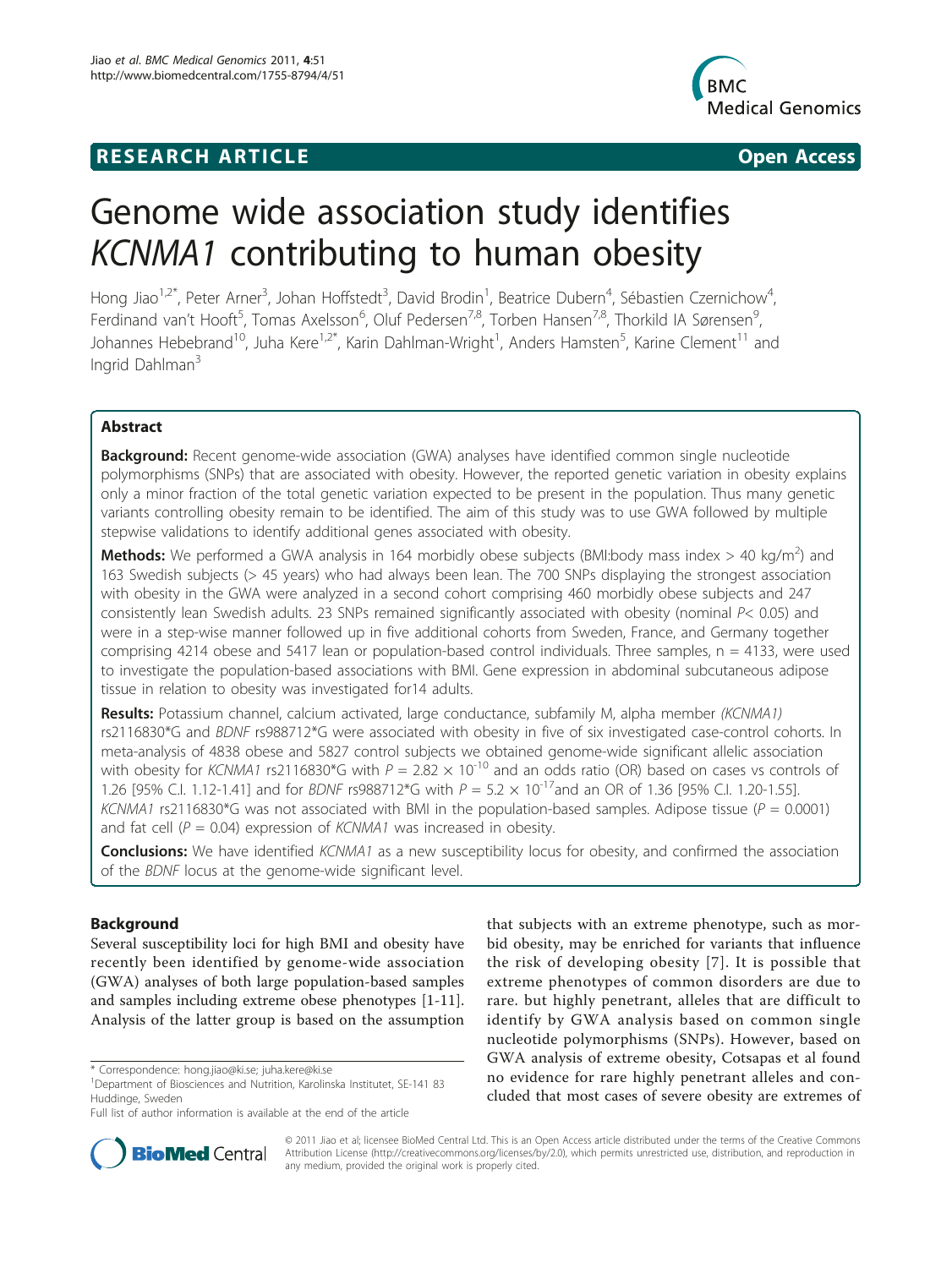## **RESEARCH ARTICLE Example 2014 CONSIDERING ACCESS**



# Genome wide association study identifies KCNMA1 contributing to human obesity

Hong Jiao<sup>1,2\*</sup>, Peter Arner<sup>3</sup>, Johan Hoffstedt<sup>3</sup>, David Brodin<sup>1</sup>, Beatrice Dubern<sup>4</sup>, Sébastien Czernichow<sup>4</sup> , Ferdinand van't Hooft<sup>5</sup>, Tomas Axelsson<sup>6</sup>, Oluf Pedersen<sup>7,8</sup>, Torben Hansen<sup>7,8</sup>, Thorkild IA Sørensen<sup>9</sup> , Johannes Hebebrand<sup>10</sup>, Juha Kere<sup>1,2\*</sup>, Karin Dahlman-Wright<sup>1</sup>, Anders Hamsten<sup>5</sup>, Karine Clement<sup>11</sup> and Ingrid Dahlman<sup>3</sup>

## Abstract

**Background:** Recent genome-wide association (GWA) analyses have identified common single nucleotide polymorphisms (SNPs) that are associated with obesity. However, the reported genetic variation in obesity explains only a minor fraction of the total genetic variation expected to be present in the population. Thus many genetic variants controlling obesity remain to be identified. The aim of this study was to use GWA followed by multiple stepwise validations to identify additional genes associated with obesity.

Methods: We performed a GWA analysis in 164 morbidly obese subjects (BMI:body mass index > 40 kg/m<sup>2</sup>) and 163 Swedish subjects (> 45 years) who had always been lean. The 700 SNPs displaying the strongest association with obesity in the GWA were analyzed in a second cohort comprising 460 morbidly obese subjects and 247 consistently lean Swedish adults. 23 SNPs remained significantly associated with obesity (nominal P< 0.05) and were in a step-wise manner followed up in five additional cohorts from Sweden, France, and Germany together comprising 4214 obese and 5417 lean or population-based control individuals. Three samples,  $n = 4133$ , were used to investigate the population-based associations with BMI. Gene expression in abdominal subcutaneous adipose tissue in relation to obesity was investigated for14 adults.

Results: Potassium channel, calcium activated, large conductance, subfamily M, alpha member (KCNMA1) rs2116830\*G and BDNF rs988712\*G were associated with obesity in five of six investigated case-control cohorts. In meta-analysis of 4838 obese and 5827 control subjects we obtained genome-wide significant allelic association with obesity for KCNMA1 rs2116830\*G with  $P = 2.82 \times 10^{-10}$  and an odds ratio (OR) based on cases vs controls of 1.26 [95% C.I. 1.12-1.41] and for BDNF rs988712\*G with  $P = 5.2 \times 10^{-17}$  and an OR of 1.36 [95% C.I. 1.20-1.55]. KCNMA1 rs2116830\*G was not associated with BMI in the population-based samples. Adipose tissue ( $P = 0.0001$ ) and fat cell ( $P = 0.04$ ) expression of *KCNMA1* was increased in obesity.

**Conclusions:** We have identified KCNMA1 as a new susceptibility locus for obesity, and confirmed the association of the BDNF locus at the genome-wide significant level.

## Background

Several susceptibility loci for high BMI and obesity have recently been identified by genome-wide association (GWA) analyses of both large population-based samples and samples including extreme obese phenotypes [[1](#page-8-0)[-11](#page-9-0)]. Analysis of the latter group is based on the assumption

Full list of author information is available at the end of the article





© 2011 Jiao et al; licensee BioMed Central Ltd. This is an Open Access article distributed under the terms of the Creative Commons Attribution License [\(http://creativecommons.org/licenses/by/2.0](http://creativecommons.org/licenses/by/2.0)), which permits unrestricted use, distribution, and reproduction in any medium, provided the original work is properly cited.

<sup>\*</sup> Correspondence: [hong.jiao@ki.se](mailto:hong.jiao@ki.se); [juha.kere@ki.se](mailto:juha.kere@ki.se)

<sup>&</sup>lt;sup>1</sup>Department of Biosciences and Nutrition, Karolinska Institutet, SE-141 83 Huddinge, Sweden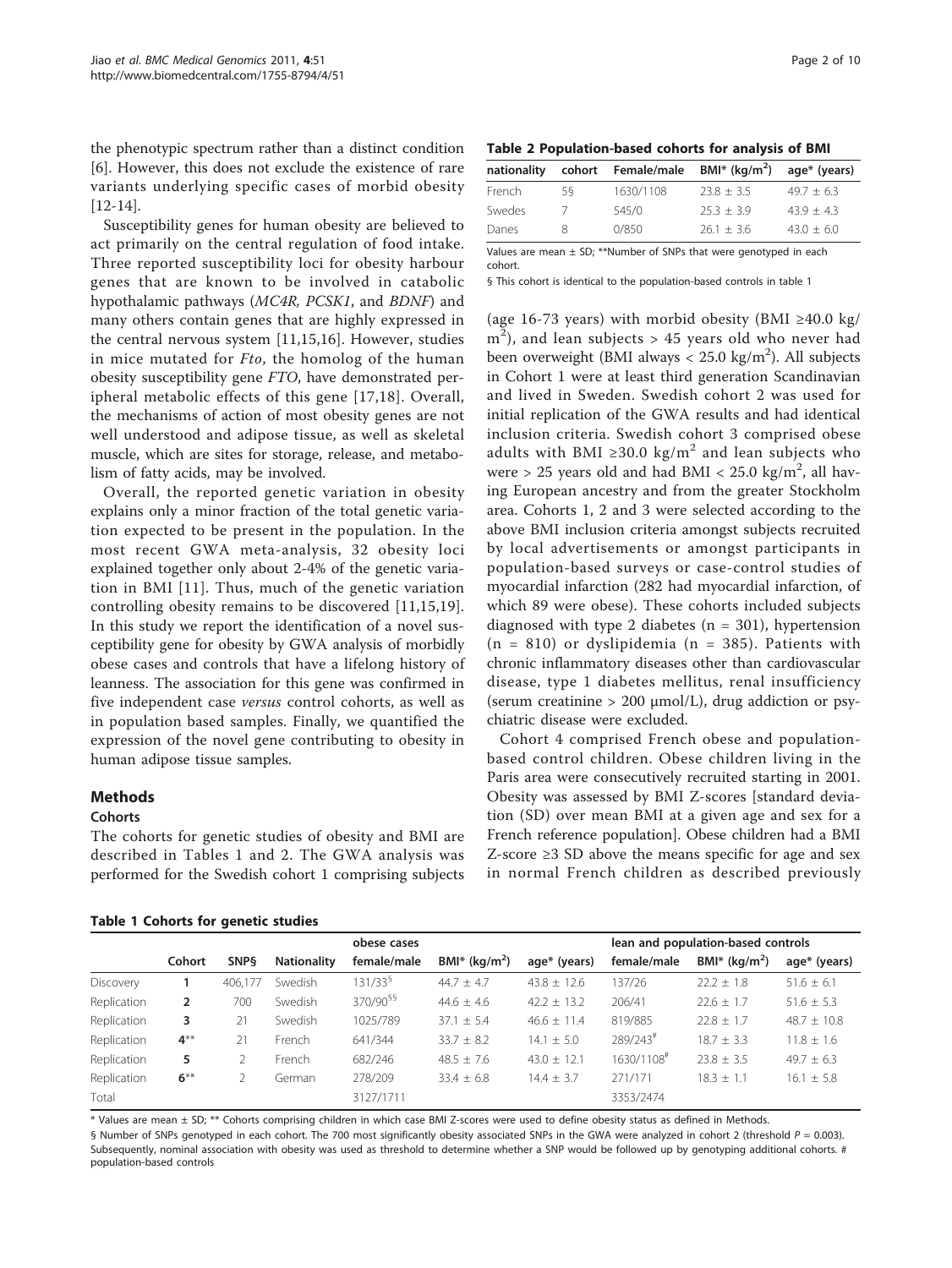<span id="page-1-0"></span>the phenotypic spectrum rather than a distinct condition [[6\]](#page-8-0). However, this does not exclude the existence of rare variants underlying specific cases of morbid obesity [[12-14\]](#page-9-0).

Susceptibility genes for human obesity are believed to act primarily on the central regulation of food intake. Three reported susceptibility loci for obesity harbour genes that are known to be involved in catabolic hypothalamic pathways (MC4R, PCSK1, and BDNF) and many others contain genes that are highly expressed in the central nervous system [[11,15,16](#page-9-0)]. However, studies in mice mutated for *Fto*, the homolog of the human obesity susceptibility gene FTO, have demonstrated peripheral metabolic effects of this gene [[17,18\]](#page-9-0). Overall, the mechanisms of action of most obesity genes are not well understood and adipose tissue, as well as skeletal muscle, which are sites for storage, release, and metabolism of fatty acids, may be involved.

Overall, the reported genetic variation in obesity explains only a minor fraction of the total genetic variation expected to be present in the population. In the most recent GWA meta-analysis, 32 obesity loci explained together only about 2-4% of the genetic variation in BMI [[11](#page-9-0)]. Thus, much of the genetic variation controlling obesity remains to be discovered [[11,15,19](#page-9-0)]. In this study we report the identification of a novel susceptibility gene for obesity by GWA analysis of morbidly obese cases and controls that have a lifelong history of leanness. The association for this gene was confirmed in five independent case versus control cohorts, as well as in population based samples. Finally, we quantified the expression of the novel gene contributing to obesity in human adipose tissue samples.

## Methods

#### **Cohorts**

The cohorts for genetic studies of obesity and BMI are described in Tables 1 and 2. The GWA analysis was performed for the Swedish cohort 1 comprising subjects

Table 2 Population-based cohorts for analysis of BMI

| nationality | cohort | Female/male | BMI* ( $kg/m2$ ) | age* (years) |
|-------------|--------|-------------|------------------|--------------|
| French      | 58     | 1630/1108   | $23.8 + 3.5$     | $49.7 + 6.3$ |
| Swedes      |        | 545/0       | $25.3 + 3.9$     | $43.9 + 4.3$ |
| Danes       |        | 0/850       | $26.1 + 3.6$     | $43.0 + 6.0$ |

Values are mean  $\pm$  SD; \*\*Number of SNPs that were genotyped in each cohort.

§ This cohort is identical to the population-based controls in table 1

(age 16-73 years) with morbid obesity (BMI ≥40.0 kg/  $m<sup>2</sup>$ ), and lean subjects > 45 years old who never had been overweight (BMI always <  $25.0 \text{ kg/m}^2$ ). All subjects in Cohort 1 were at least third generation Scandinavian and lived in Sweden. Swedish cohort 2 was used for initial replication of the GWA results and had identical inclusion criteria. Swedish cohort 3 comprised obese adults with BMI  $\geq 30.0 \text{ kg/m}^2$  and lean subjects who were > 25 years old and had BMI <  $25.0 \text{ kg/m}^2$ , all having European ancestry and from the greater Stockholm area. Cohorts 1, 2 and 3 were selected according to the above BMI inclusion criteria amongst subjects recruited by local advertisements or amongst participants in population-based surveys or case-control studies of myocardial infarction (282 had myocardial infarction, of which 89 were obese). These cohorts included subjects diagnosed with type 2 diabetes ( $n = 301$ ), hypertension  $(n = 810)$  or dyslipidemia  $(n = 385)$ . Patients with chronic inflammatory diseases other than cardiovascular disease, type 1 diabetes mellitus, renal insufficiency (serum creatinine  $> 200 \mu$ mol/L), drug addiction or psychiatric disease were excluded.

Cohort 4 comprised French obese and populationbased control children. Obese children living in the Paris area were consecutively recruited starting in 2001. Obesity was assessed by BMI Z-scores [standard deviation (SD) over mean BMI at a given age and sex for a French reference population]. Obese children had a BMI Z-score ≥3 SD above the means specific for age and sex in normal French children as described previously

|             |        | obese cases |                    |                      |                  | lean and population-based controls |                        |                  |                 |
|-------------|--------|-------------|--------------------|----------------------|------------------|------------------------------------|------------------------|------------------|-----------------|
|             | Cohort | <b>SNPS</b> | <b>Nationality</b> | female/male          | BMI* ( $kg/m2$ ) | age* (years)                       | female/male            | BMI* ( $kg/m2$ ) | age* (years)    |
| Discovery   |        | 406.177     | Swedish            | 131/33 <sup>§</sup>  | $44.7 \pm 4.7$   | $43.8 \pm 12.6$                    | 137/26                 | $22.2 \pm 1.8$   | $51.6 \pm 6.1$  |
| Replication | 2      | 700         | Swedish            | 370/90 <sup>§§</sup> | $44.6 + 4.6$     | $42.2 \pm 13.2$                    | 206/41                 | $22.6 \pm 1.7$   | $51.6 \pm 5.3$  |
| Replication | 3      | 21          | Swedish            | 1025/789             | $37.1 \pm 5.4$   | $46.6 \pm 11.4$                    | 819/885                | $22.8 \pm 1.7$   | $48.7 \pm 10.8$ |
| Replication | $4**$  | 21          | French             | 641/344              | $33.7 \pm 8.2$   | $14.1 \pm 5.0$                     | $289/243$ <sup>#</sup> | $18.7 \pm 3.3$   | $11.8 \pm 1.6$  |
| Replication | 5      |             | French             | 682/246              | $48.5 + 7.6$     | $43.0 + 12.1$                      | 1630/1108#             | $23.8 \pm 3.5$   | $49.7 \pm 6.3$  |
| Replication | $6***$ |             | German             | 278/209              | $33.4 \pm 6.8$   | $14.4 \pm 3.7$                     | 271/171                | $18.3 + 1.1$     | $16.1 \pm 5.8$  |
| Total       |        |             |                    | 3127/1711            |                  |                                    | 3353/2474              |                  |                 |

\* Values are mean ± SD; \*\* Cohorts comprising children in which case BMI Z-scores were used to define obesity status as defined in Methods.

§ Number of SNPs genotyped in each cohort. The 700 most significantly obesity associated SNPs in the GWA were analyzed in cohort 2 (threshold  $P = 0.003$ ). Subsequently, nominal association with obesity was used as threshold to determine whether a SNP would be followed up by genotyping additional cohorts. # population-based controls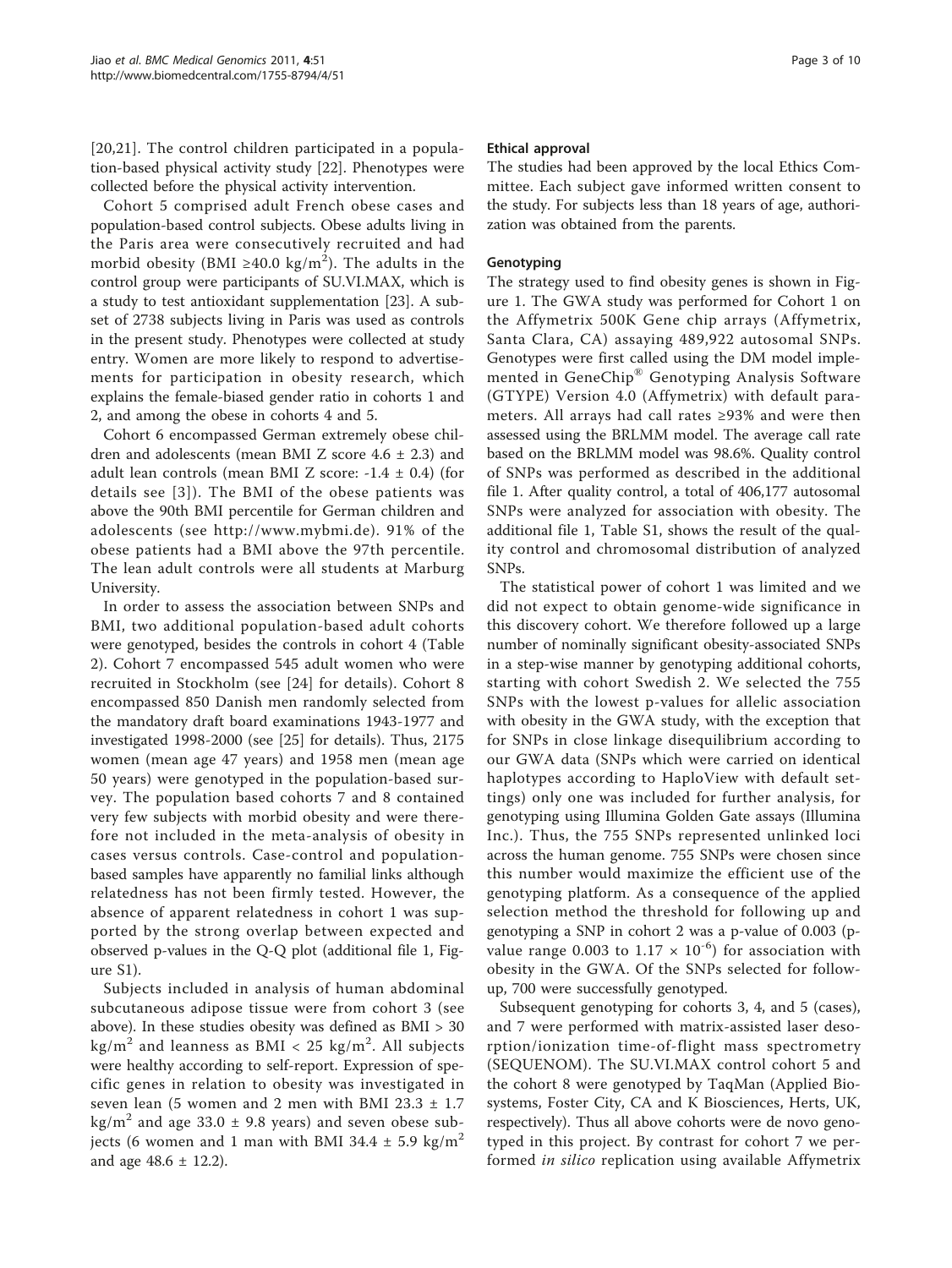[[20](#page-9-0),[21\]](#page-9-0). The control children participated in a population-based physical activity study [[22\]](#page-9-0). Phenotypes were collected before the physical activity intervention.

Cohort 5 comprised adult French obese cases and population-based control subjects. Obese adults living in the Paris area were consecutively recruited and had morbid obesity (BMI ≥40.0 kg/m $^2$ ). The adults in the control group were participants of SU.VI.MAX, which is a study to test antioxidant supplementation [[23\]](#page-9-0). A subset of 2738 subjects living in Paris was used as controls in the present study. Phenotypes were collected at study entry. Women are more likely to respond to advertisements for participation in obesity research, which explains the female-biased gender ratio in cohorts 1 and 2, and among the obese in cohorts 4 and 5.

Cohort 6 encompassed German extremely obese children and adolescents (mean BMI Z score  $4.6 \pm 2.3$ ) and adult lean controls (mean BMI Z score:  $-1.4 \pm 0.4$ ) (for details see [[3\]](#page-8-0)). The BMI of the obese patients was above the 90th BMI percentile for German children and adolescents (see [http://www.mybmi.de\)](http://www.mybmi.de). 91% of the obese patients had a BMI above the 97th percentile. The lean adult controls were all students at Marburg University.

In order to assess the association between SNPs and BMI, two additional population-based adult cohorts were genotyped, besides the controls in cohort 4 (Table [2\)](#page-1-0). Cohort 7 encompassed 545 adult women who were recruited in Stockholm (see [[24\]](#page-9-0) for details). Cohort 8 encompassed 850 Danish men randomly selected from the mandatory draft board examinations 1943-1977 and investigated 1998-2000 (see [[25](#page-9-0)] for details). Thus, 2175 women (mean age 47 years) and 1958 men (mean age 50 years) were genotyped in the population-based survey. The population based cohorts 7 and 8 contained very few subjects with morbid obesity and were therefore not included in the meta-analysis of obesity in cases versus controls. Case-control and populationbased samples have apparently no familial links although relatedness has not been firmly tested. However, the absence of apparent relatedness in cohort 1 was supported by the strong overlap between expected and observed p-values in the Q-Q plot (additional file [1](#page-8-0), Figure S1).

Subjects included in analysis of human abdominal subcutaneous adipose tissue were from cohort 3 (see above). In these studies obesity was defined as BMI > 30 kg/m $^2$  and leanness as BMI < 25 kg/m $^2$ . All subjects were healthy according to self-report. Expression of specific genes in relation to obesity was investigated in seven lean (5 women and 2 men with BMI 23.3 ± 1.7  $\text{kg/m}^2$  and age 33.0  $\pm$  9.8 years) and seven obese subjects (6 women and 1 man with BMI 34.4  $\pm$  5.9 kg/m<sup>2</sup> and age  $48.6 \pm 12.2$ ).

## Ethical approval

The studies had been approved by the local Ethics Committee. Each subject gave informed written consent to the study. For subjects less than 18 years of age, authorization was obtained from the parents.

#### Genotyping

The strategy used to find obesity genes is shown in Figure [1.](#page-3-0) The GWA study was performed for Cohort 1 on the Affymetrix 500K Gene chip arrays (Affymetrix, Santa Clara, CA) assaying 489,922 autosomal SNPs. Genotypes were first called using the DM model implemented in GeneChip® Genotyping Analysis Software (GTYPE) Version 4.0 (Affymetrix) with default parameters. All arrays had call rates ≥93% and were then assessed using the BRLMM model. The average call rate based on the BRLMM model was 98.6%. Quality control of SNPs was performed as described in the additional file [1](#page-8-0). After quality control, a total of 406,177 autosomal SNPs were analyzed for association with obesity. The additional file [1](#page-8-0), Table S1, shows the result of the quality control and chromosomal distribution of analyzed SNPs.

The statistical power of cohort 1 was limited and we did not expect to obtain genome-wide significance in this discovery cohort. We therefore followed up a large number of nominally significant obesity-associated SNPs in a step-wise manner by genotyping additional cohorts, starting with cohort Swedish 2. We selected the 755 SNPs with the lowest p-values for allelic association with obesity in the GWA study, with the exception that for SNPs in close linkage disequilibrium according to our GWA data (SNPs which were carried on identical haplotypes according to HaploView with default settings) only one was included for further analysis, for genotyping using Illumina Golden Gate assays (Illumina Inc.). Thus, the 755 SNPs represented unlinked loci across the human genome. 755 SNPs were chosen since this number would maximize the efficient use of the genotyping platform. As a consequence of the applied selection method the threshold for following up and genotyping a SNP in cohort 2 was a p-value of 0.003 (pvalue range 0.003 to  $1.17 \times 10^{-6}$ ) for association with obesity in the GWA. Of the SNPs selected for followup, 700 were successfully genotyped.

Subsequent genotyping for cohorts 3, 4, and 5 (cases), and 7 were performed with matrix-assisted laser desorption/ionization time-of-flight mass spectrometry (SEQUENOM). The SU.VI.MAX control cohort 5 and the cohort 8 were genotyped by TaqMan (Applied Biosystems, Foster City, CA and K Biosciences, Herts, UK, respectively). Thus all above cohorts were de novo genotyped in this project. By contrast for cohort 7 we performed in silico replication using available Affymetrix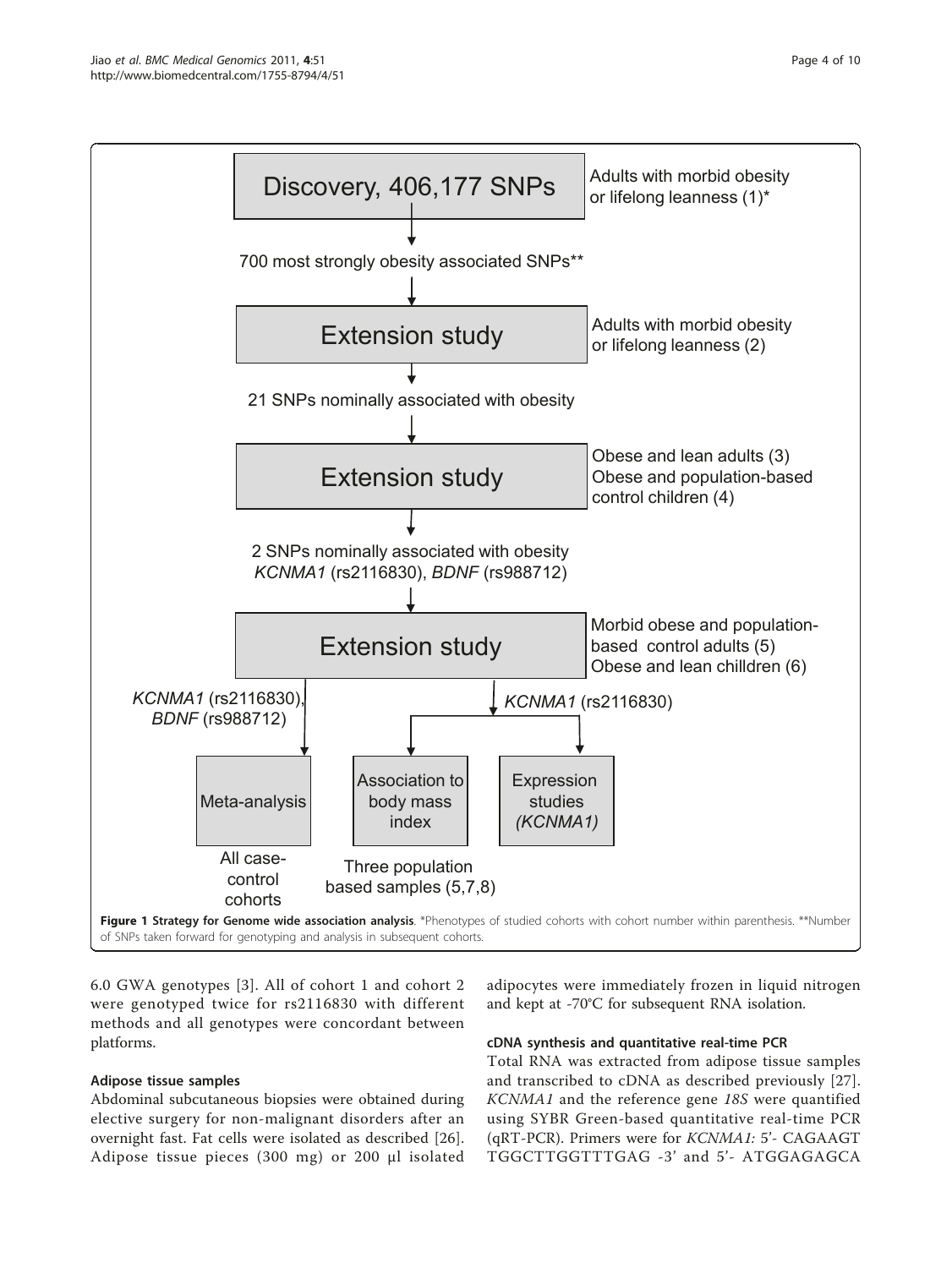<span id="page-3-0"></span>

6.0 GWA genotypes [[3](#page-8-0)]. All of cohort 1 and cohort 2 were genotyped twice for rs2116830 with different methods and all genotypes were concordant between platforms.

## Adipose tissue samples

Abdominal subcutaneous biopsies were obtained during elective surgery for non-malignant disorders after an overnight fast. Fat cells were isolated as described [[26](#page-9-0)]. Adipose tissue pieces (300 mg) or 200 μl isolated

adipocytes were immediately frozen in liquid nitrogen and kept at -70°C for subsequent RNA isolation.

## cDNA synthesis and quantitative real-time PCR

Total RNA was extracted from adipose tissue samples and transcribed to cDNA as described previously [[27](#page-9-0)]. KCNMA1 and the reference gene 18S were quantified using SYBR Green-based quantitative real-time PCR (qRT-PCR). Primers were for KCNMA1: 5'- CAGAAGT TGGCTTGGTTTGAG -3' and 5'- ATGGAGAGCA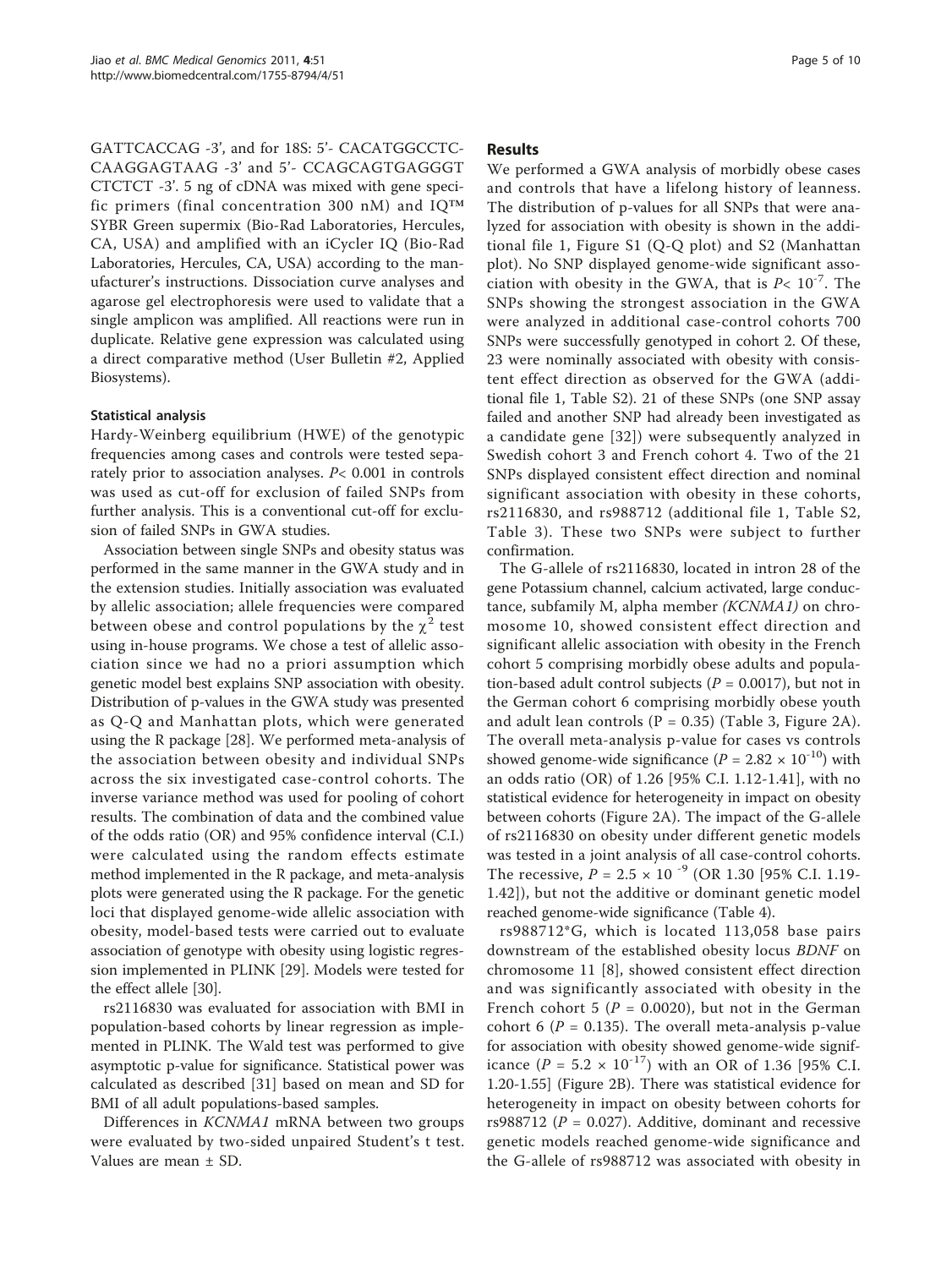GATTCACCAG -3', and for 18S: 5'- CACATGGCCTC-CAAGGAGTAAG -3' and 5'- CCAGCAGTGAGGGT CTCTCT -3'. 5 ng of cDNA was mixed with gene specific primers (final concentration 300 nM) and IQ™ SYBR Green supermix (Bio-Rad Laboratories, Hercules, CA, USA) and amplified with an iCycler IQ (Bio-Rad Laboratories, Hercules, CA, USA) according to the manufacturer's instructions. Dissociation curve analyses and agarose gel electrophoresis were used to validate that a single amplicon was amplified. All reactions were run in duplicate. Relative gene expression was calculated using a direct comparative method (User Bulletin #2, Applied Biosystems).

## Statistical analysis

Hardy-Weinberg equilibrium (HWE) of the genotypic frequencies among cases and controls were tested separately prior to association analyses. P< 0.001 in controls was used as cut-off for exclusion of failed SNPs from further analysis. This is a conventional cut-off for exclusion of failed SNPs in GWA studies.

Association between single SNPs and obesity status was performed in the same manner in the GWA study and in the extension studies. Initially association was evaluated by allelic association; allele frequencies were compared between obese and control populations by the  $\chi^2$  test using in-house programs. We chose a test of allelic association since we had no a priori assumption which genetic model best explains SNP association with obesity. Distribution of p-values in the GWA study was presented as Q-Q and Manhattan plots, which were generated using the R package [\[28\]](#page-9-0). We performed meta-analysis of the association between obesity and individual SNPs across the six investigated case-control cohorts. The inverse variance method was used for pooling of cohort results. The combination of data and the combined value of the odds ratio (OR) and 95% confidence interval (C.I.) were calculated using the random effects estimate method implemented in the R package, and meta-analysis plots were generated using the R package. For the genetic loci that displayed genome-wide allelic association with obesity, model-based tests were carried out to evaluate association of genotype with obesity using logistic regression implemented in PLINK [\[29](#page-9-0)]. Models were tested for the effect allele [[30](#page-9-0)].

rs2116830 was evaluated for association with BMI in population-based cohorts by linear regression as implemented in PLINK. The Wald test was performed to give asymptotic p-value for significance. Statistical power was calculated as described [\[31](#page-9-0)] based on mean and SD for BMI of all adult populations-based samples.

Differences in KCNMA1 mRNA between two groups were evaluated by two-sided unpaired Student's t test. Values are mean ± SD.

## Results

We performed a GWA analysis of morbidly obese cases and controls that have a lifelong history of leanness. The distribution of p-values for all SNPs that were analyzed for association with obesity is shown in the additional file [1,](#page-8-0) Figure S1 (Q-Q plot) and S2 (Manhattan plot). No SNP displayed genome-wide significant association with obesity in the GWA, that is  $P < 10^{-7}$ . The SNPs showing the strongest association in the GWA were analyzed in additional case-control cohorts 700 SNPs were successfully genotyped in cohort 2. Of these, 23 were nominally associated with obesity with consistent effect direction as observed for the GWA (additional file [1,](#page-8-0) Table S2). 21 of these SNPs (one SNP assay failed and another SNP had already been investigated as a candidate gene [[32](#page-9-0)]) were subsequently analyzed in Swedish cohort 3 and French cohort 4. Two of the 21 SNPs displayed consistent effect direction and nominal significant association with obesity in these cohorts, rs2116830, and rs988712 (additional file [1,](#page-8-0) Table S2, Table [3](#page-5-0)). These two SNPs were subject to further confirmation.

The G-allele of rs2116830, located in intron 28 of the gene Potassium channel, calcium activated, large conductance, subfamily M, alpha member (KCNMA1) on chromosome 10, showed consistent effect direction and significant allelic association with obesity in the French cohort 5 comprising morbidly obese adults and population-based adult control subjects ( $P = 0.0017$ ), but not in the German cohort 6 comprising morbidly obese youth and adult lean controls  $(P = 0.35)$  (Table [3,](#page-5-0) Figure [2A\)](#page-5-0). The overall meta-analysis p-value for cases vs controls showed genome-wide significance ( $P = 2.82 \times 10^{-10}$ ) with an odds ratio (OR) of 1.26 [95% C.I. 1.12-1.41], with no statistical evidence for heterogeneity in impact on obesity between cohorts (Figure [2A](#page-5-0)). The impact of the G-allele of rs2116830 on obesity under different genetic models was tested in a joint analysis of all case-control cohorts. The recessive,  $P = 2.5 \times 10^{-9}$  (OR 1.30 [95% C.I. 1.19-1.42]), but not the additive or dominant genetic model reached genome-wide significance (Table [4\)](#page-6-0).

rs988712\*G, which is located 113,058 base pairs downstream of the established obesity locus BDNF on chromosome 11 [[8\]](#page-8-0), showed consistent effect direction and was significantly associated with obesity in the French cohort 5 ( $P = 0.0020$ ), but not in the German cohort 6 ( $P = 0.135$ ). The overall meta-analysis p-value for association with obesity showed genome-wide significance ( $P = 5.2 \times 10^{-17}$ ) with an OR of 1.36 [95% C.I. 1.20-1.55] (Figure [2B\)](#page-5-0). There was statistical evidence for heterogeneity in impact on obesity between cohorts for rs988712 ( $P = 0.027$ ). Additive, dominant and recessive genetic models reached genome-wide significance and the G-allele of rs988712 was associated with obesity in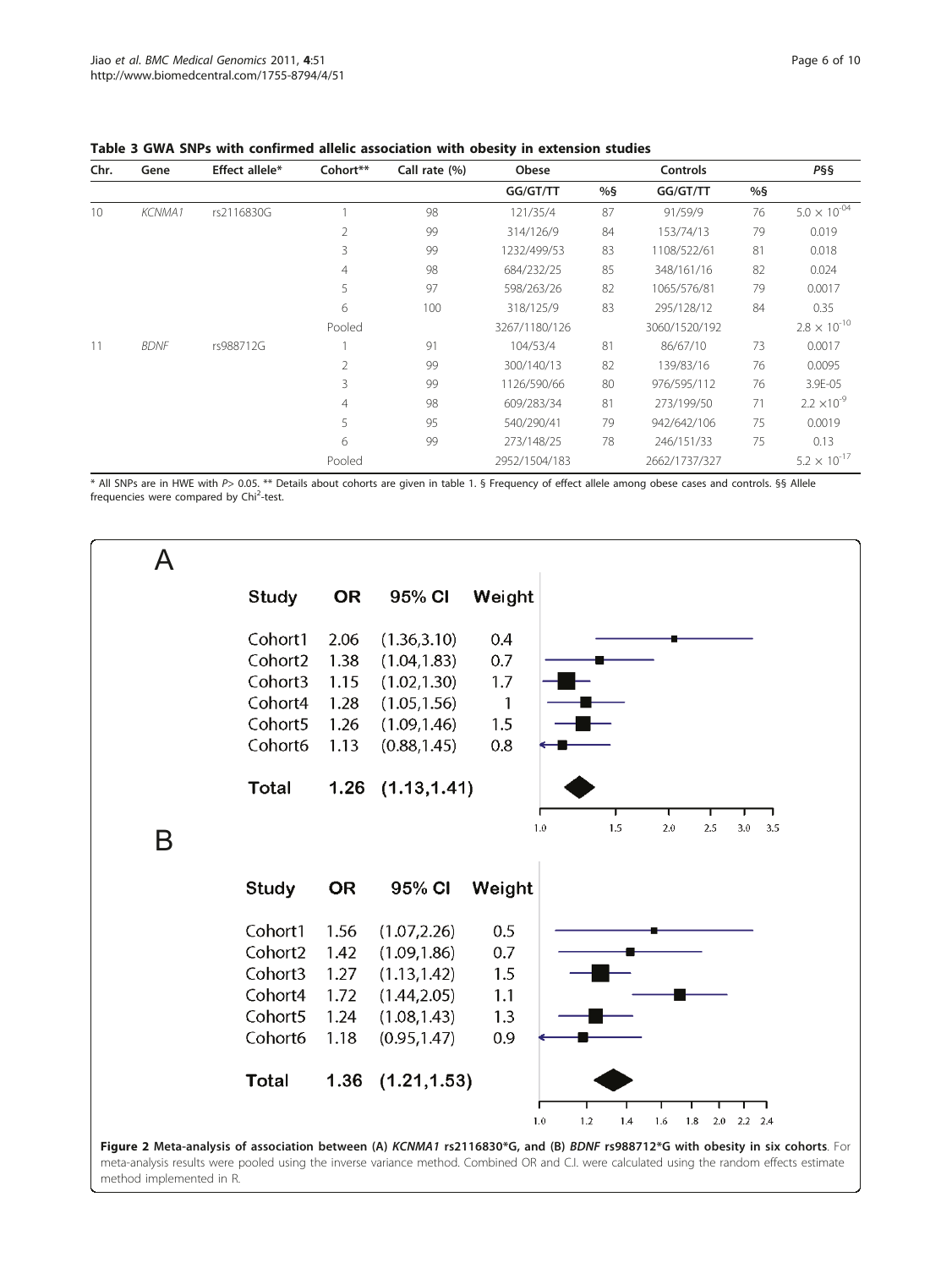| Chr. | Gene          | Effect allele* | Cohort**       | Call rate (%) | Obese         |    | Controls      |    | P§§                   |
|------|---------------|----------------|----------------|---------------|---------------|----|---------------|----|-----------------------|
|      |               |                |                |               | GG/GT/TT      | %§ | GG/GT/TT      | %S |                       |
| 10   | <b>KCNMA1</b> | rs2116830G     |                | 98            | 121/35/4      | 87 | 91/59/9       | 76 | $5.0 \times 10^{-04}$ |
|      |               |                | $\overline{2}$ | 99            | 314/126/9     | 84 | 153/74/13     | 79 | 0.019                 |
|      |               |                | 3              | 99            | 1232/499/53   | 83 | 1108/522/61   | 81 | 0.018                 |
|      |               |                | $\overline{4}$ | 98            | 684/232/25    | 85 | 348/161/16    | 82 | 0.024                 |
|      |               |                | 5              | 97            | 598/263/26    | 82 | 1065/576/81   | 79 | 0.0017                |
|      |               |                | 6              | 100           | 318/125/9     | 83 | 295/128/12    | 84 | 0.35                  |
|      |               |                | Pooled         |               | 3267/1180/126 |    | 3060/1520/192 |    | $2.8 \times 10^{-10}$ |
| 11   | <b>BDNF</b>   | rs988712G      |                | 91            | 104/53/4      | 81 | 86/67/10      | 73 | 0.0017                |
|      |               |                | $\overline{2}$ | 99            | 300/140/13    | 82 | 139/83/16     | 76 | 0.0095                |
|      |               |                | 3              | 99            | 1126/590/66   | 80 | 976/595/112   | 76 | 3.9E-05               |
|      |               |                | $\overline{4}$ | 98            | 609/283/34    | 81 | 273/199/50    | 71 | $2.2 \times 10^{-9}$  |
|      |               |                | 5              | 95            | 540/290/41    | 79 | 942/642/106   | 75 | 0.0019                |
|      |               |                | 6              | 99            | 273/148/25    | 78 | 246/151/33    | 75 | 0.13                  |
|      |               |                | Pooled         |               | 2952/1504/183 |    | 2662/1737/327 |    | $5.2 \times 10^{-17}$ |

## <span id="page-5-0"></span>Table 3 GWA SNPs with confirmed allelic association with obesity in extension studies

\* All SNPs are in HWE with P> 0.05. \*\* Details about cohorts are given in table 1. § Frequency of effect allele among obese cases and controls. §§ Allele frequencies were compared by Chi<sup>2</sup>-test.

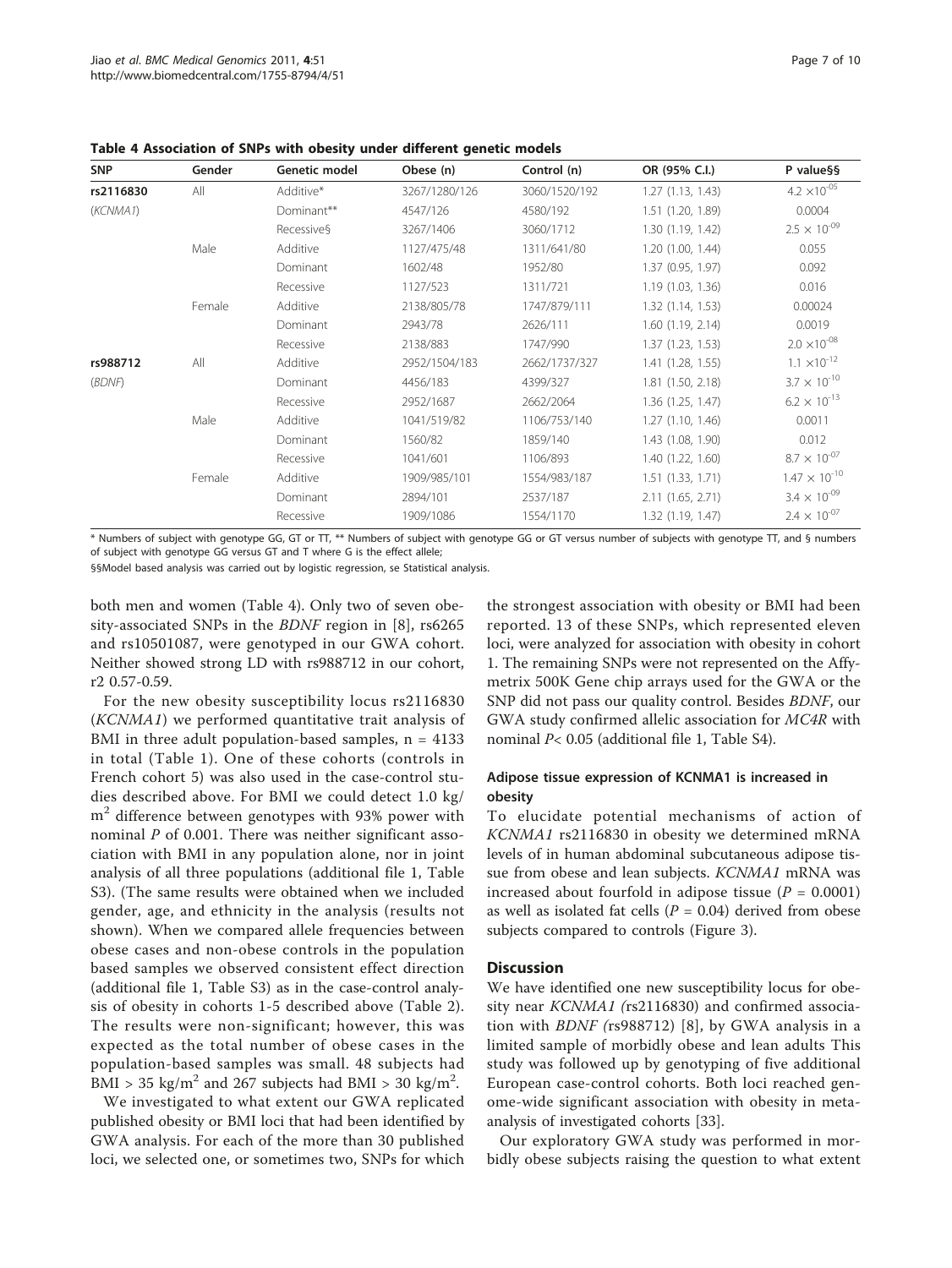| <b>SNP</b> | Gender | Genetic model | Obese (n)     | Control (n)   | OR (95% C.I.)         | P value§§              |
|------------|--------|---------------|---------------|---------------|-----------------------|------------------------|
| rs2116830  | All    | Additive*     | 3267/1280/126 | 3060/1520/192 | 1.27(1.13, 1.43)      | $4.2 \times 10^{-05}$  |
| (KCNMA1)   |        | Dominant**    | 4547/126      | 4580/192      | 1.51 (1.20, 1.89)     | 0.0004                 |
|            |        | Recessive§    | 3267/1406     | 3060/1712     | 1.30 (1.19, 1.42)     | $2.5 \times 10^{-09}$  |
|            | Male   | Additive      | 1127/475/48   | 1311/641/80   | 1.20(1.00, 1.44)      | 0.055                  |
|            |        | Dominant      | 1602/48       | 1952/80       | 1.37 (0.95, 1.97)     | 0.092                  |
|            |        | Recessive     | 1127/523      | 1311/721      | 1.19(1.03, 1.36)      | 0.016                  |
|            | Female | Additive      | 2138/805/78   | 1747/879/111  | 1.32(1.14, 1.53)      | 0.00024                |
|            |        | Dominant      | 2943/78       | 2626/111      | 1.60(1.19, 2.14)      | 0.0019                 |
|            |        | Recessive     | 2138/883      | 1747/990      | 1.37(1.23, 1.53)      | $2.0 \times 10^{-08}$  |
| rs988712   | All    | Additive      | 2952/1504/183 | 2662/1737/327 | 1.41 (1.28, 1.55)     | $1.1 \times 10^{-12}$  |
| (BDNF)     |        | Dominant      | 4456/183      | 4399/327      | $1.81$ $(1.50, 2.18)$ | $3.7 \times 10^{-10}$  |
|            |        | Recessive     | 2952/1687     | 2662/2064     | 1.36(1.25, 1.47)      | $6.2 \times 10^{-13}$  |
|            | Male   | Additive      | 1041/519/82   | 1106/753/140  | 1.27(1.10, 1.46)      | 0.0011                 |
|            |        | Dominant      | 1560/82       | 1859/140      | 1.43 (1.08, 1.90)     | 0.012                  |
|            |        | Recessive     | 1041/601      | 1106/893      | 1.40(1.22, 1.60)      | $8.7 \times 10^{-07}$  |
|            | Female | Additive      | 1909/985/101  | 1554/983/187  | 1.51(1.33, 1.71)      | $1.47 \times 10^{-10}$ |
|            |        | Dominant      | 2894/101      | 2537/187      | 2.11 (1.65, 2.71)     | $3.4 \times 10^{-09}$  |
|            |        | Recessive     | 1909/1086     | 1554/1170     | 1.32 (1.19, 1.47)     | $2.4 \times 10^{-07}$  |

<span id="page-6-0"></span>Table 4 Association of SNPs with obesity under different genetic models

\* Numbers of subject with genotype GG, GT or TT, \*\* Numbers of subject with genotype GG or GT versus number of subjects with genotype TT, and § numbers of subject with genotype GG versus GT and T where G is the effect allele;

§§Model based analysis was carried out by logistic regression, se Statistical analysis.

both men and women (Table 4). Only two of seven obesity-associated SNPs in the BDNF region in [[8\]](#page-8-0), rs6265 and rs10501087, were genotyped in our GWA cohort. Neither showed strong LD with rs988712 in our cohort, r2 0.57-0.59.

For the new obesity susceptibility locus rs2116830 (KCNMA1) we performed quantitative trait analysis of BMI in three adult population-based samples,  $n = 4133$ in total (Table [1\)](#page-1-0). One of these cohorts (controls in French cohort 5) was also used in the case-control studies described above. For BMI we could detect 1.0 kg/ m<sup>2</sup> difference between genotypes with 93% power with nominal P of 0.001. There was neither significant association with BMI in any population alone, nor in joint analysis of all three populations (additional file [1,](#page-8-0) Table S3). (The same results were obtained when we included gender, age, and ethnicity in the analysis (results not shown). When we compared allele frequencies between obese cases and non-obese controls in the population based samples we observed consistent effect direction (additional file [1,](#page-8-0) Table S3) as in the case-control analysis of obesity in cohorts 1-5 described above (Table [2](#page-1-0)). The results were non-significant; however, this was expected as the total number of obese cases in the population-based samples was small. 48 subjects had BMI > 35 kg/m<sup>2</sup> and 267 subjects had BMI > 30 kg/m<sup>2</sup>.

We investigated to what extent our GWA replicated published obesity or BMI loci that had been identified by GWA analysis. For each of the more than 30 published loci, we selected one, or sometimes two, SNPs for which

the strongest association with obesity or BMI had been reported. 13 of these SNPs, which represented eleven loci, were analyzed for association with obesity in cohort 1. The remaining SNPs were not represented on the Affymetrix 500K Gene chip arrays used for the GWA or the SNP did not pass our quality control. Besides BDNF, our GWA study confirmed allelic association for MC4R with nominal P< 0.05 (additional file [1](#page-8-0), Table S4).

## Adipose tissue expression of KCNMA1 is increased in obesity

To elucidate potential mechanisms of action of KCNMA1 rs2116830 in obesity we determined mRNA levels of in human abdominal subcutaneous adipose tissue from obese and lean subjects. KCNMA1 mRNA was increased about fourfold in adipose tissue ( $P = 0.0001$ ) as well as isolated fat cells ( $P = 0.04$ ) derived from obese subjects compared to controls (Figure [3\)](#page-7-0).

## **Discussion**

We have identified one new susceptibility locus for obesity near KCNMA1 (rs2116830) and confirmed association with BDNF (rs988712) [[8\]](#page-8-0), by GWA analysis in a limited sample of morbidly obese and lean adults This study was followed up by genotyping of five additional European case-control cohorts. Both loci reached genome-wide significant association with obesity in metaanalysis of investigated cohorts [\[33](#page-9-0)].

Our exploratory GWA study was performed in morbidly obese subjects raising the question to what extent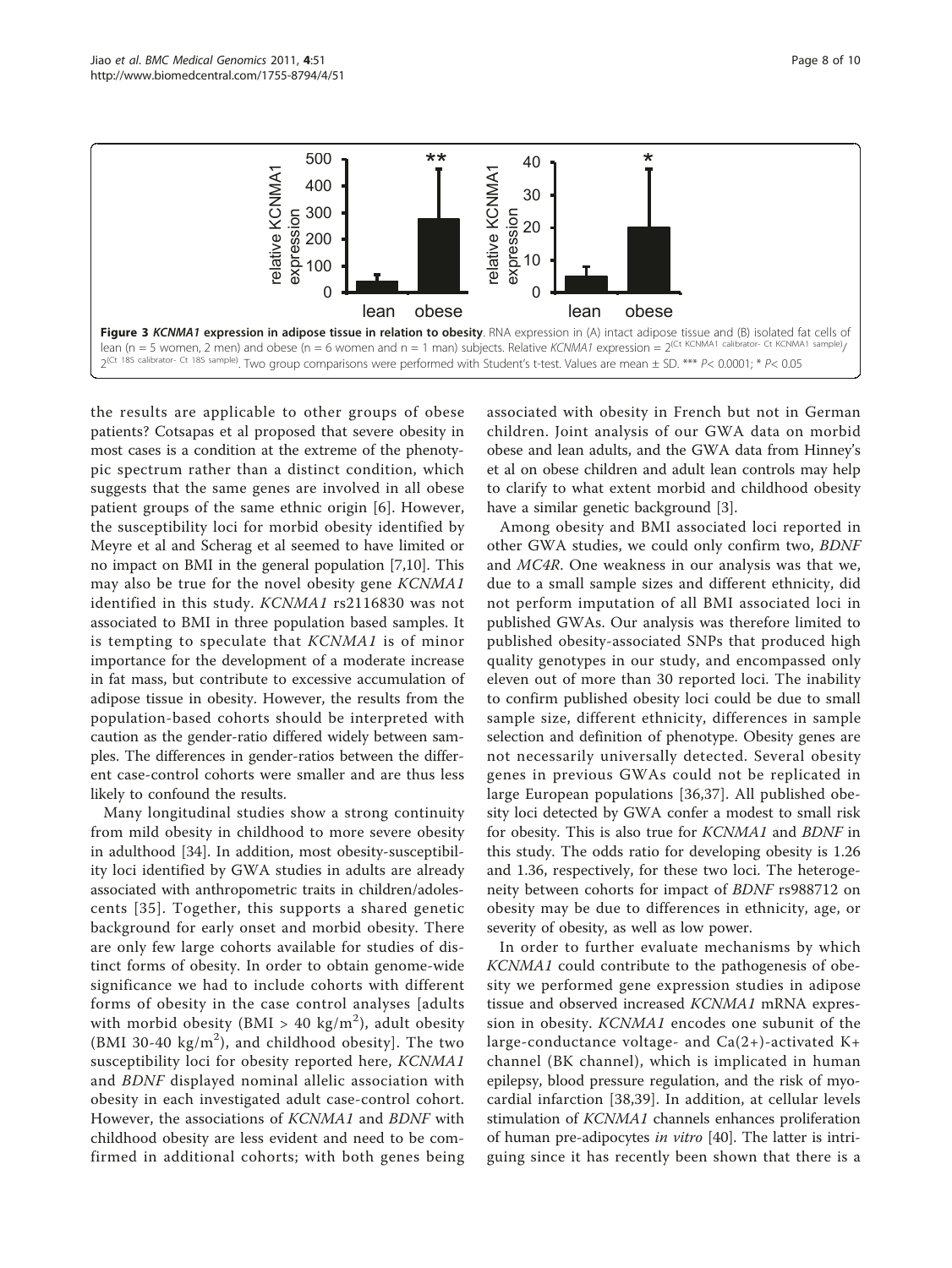<span id="page-7-0"></span>

the results are applicable to other groups of obese patients? Cotsapas et al proposed that severe obesity in most cases is a condition at the extreme of the phenotypic spectrum rather than a distinct condition, which suggests that the same genes are involved in all obese patient groups of the same ethnic origin [[6\]](#page-8-0). However, the susceptibility loci for morbid obesity identified by Meyre et al and Scherag et al seemed to have limited or no impact on BMI in the general population [\[7](#page-8-0)[,10\]](#page-9-0). This may also be true for the novel obesity gene KCNMA1 identified in this study. KCNMA1 rs2116830 was not associated to BMI in three population based samples. It is tempting to speculate that KCNMA1 is of minor importance for the development of a moderate increase in fat mass, but contribute to excessive accumulation of adipose tissue in obesity. However, the results from the population-based cohorts should be interpreted with caution as the gender-ratio differed widely between samples. The differences in gender-ratios between the different case-control cohorts were smaller and are thus less likely to confound the results.

Many longitudinal studies show a strong continuity from mild obesity in childhood to more severe obesity in adulthood [[34\]](#page-9-0). In addition, most obesity-susceptibility loci identified by GWA studies in adults are already associated with anthropometric traits in children/adolescents [[35\]](#page-9-0). Together, this supports a shared genetic background for early onset and morbid obesity. There are only few large cohorts available for studies of distinct forms of obesity. In order to obtain genome-wide significance we had to include cohorts with different forms of obesity in the case control analyses [adults with morbid obesity (BMI > 40 kg/m<sup>2</sup>), adult obesity (BMI 30-40 kg/m<sup>2</sup>), and childhood obesity]. The two susceptibility loci for obesity reported here, KCNMA1 and BDNF displayed nominal allelic association with obesity in each investigated adult case-control cohort. However, the associations of KCNMA1 and BDNF with childhood obesity are less evident and need to be comfirmed in additional cohorts; with both genes being

associated with obesity in French but not in German children. Joint analysis of our GWA data on morbid obese and lean adults, and the GWA data from Hinney's et al on obese children and adult lean controls may help to clarify to what extent morbid and childhood obesity have a similar genetic background [\[3](#page-8-0)].

Among obesity and BMI associated loci reported in other GWA studies, we could only confirm two, BDNF and MC4R. One weakness in our analysis was that we, due to a small sample sizes and different ethnicity, did not perform imputation of all BMI associated loci in published GWAs. Our analysis was therefore limited to published obesity-associated SNPs that produced high quality genotypes in our study, and encompassed only eleven out of more than 30 reported loci. The inability to confirm published obesity loci could be due to small sample size, different ethnicity, differences in sample selection and definition of phenotype. Obesity genes are not necessarily universally detected. Several obesity genes in previous GWAs could not be replicated in large European populations [\[36](#page-9-0),[37\]](#page-9-0). All published obesity loci detected by GWA confer a modest to small risk for obesity. This is also true for KCNMA1 and BDNF in this study. The odds ratio for developing obesity is 1.26 and 1.36, respectively, for these two loci. The heterogeneity between cohorts for impact of BDNF rs988712 on obesity may be due to differences in ethnicity, age, or severity of obesity, as well as low power.

In order to further evaluate mechanisms by which KCNMA1 could contribute to the pathogenesis of obesity we performed gene expression studies in adipose tissue and observed increased KCNMA1 mRNA expression in obesity. KCNMA1 encodes one subunit of the large-conductance voltage- and  $Ca(2+)$ -activated K+ channel (BK channel), which is implicated in human epilepsy, blood pressure regulation, and the risk of myocardial infarction [[38,39](#page-9-0)]. In addition, at cellular levels stimulation of KCNMA1 channels enhances proliferation of human pre-adipocytes in vitro [\[40\]](#page-9-0). The latter is intriguing since it has recently been shown that there is a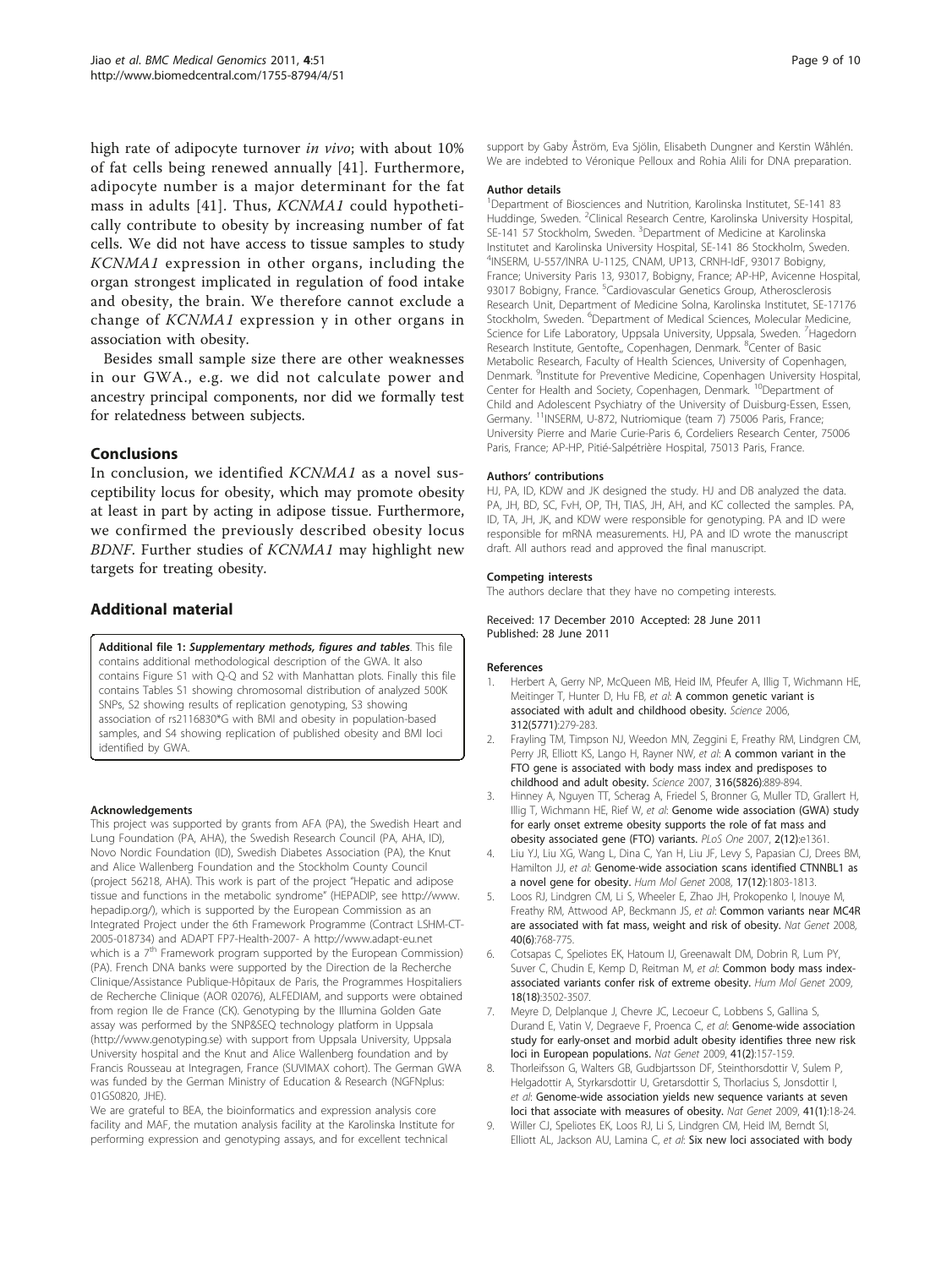<span id="page-8-0"></span>high rate of adipocyte turnover in vivo; with about 10% of fat cells being renewed annually [[41\]](#page-9-0). Furthermore, adipocyte number is a major determinant for the fat mass in adults [[41](#page-9-0)]. Thus, KCNMA1 could hypothetically contribute to obesity by increasing number of fat cells. We did not have access to tissue samples to study KCNMA1 expression in other organs, including the organ strongest implicated in regulation of food intake and obesity, the brain. We therefore cannot exclude a change of KCNMA1 expression y in other organs in association with obesity.

Besides small sample size there are other weaknesses in our GWA., e.g. we did not calculate power and ancestry principal components, nor did we formally test for relatedness between subjects.

## Conclusions

In conclusion, we identified *KCNMA1* as a novel susceptibility locus for obesity, which may promote obesity at least in part by acting in adipose tissue. Furthermore, we confirmed the previously described obesity locus BDNF. Further studies of KCNMA1 may highlight new targets for treating obesity.

## Additional material

[Additional file 1:](http://www.biomedcentral.com/content/supplementary/1755-8794-4-51-S1.DOC) Supplementary methods, figures and tables. This file contains additional methodological description of the GWA. It also contains Figure S1 with Q-Q and S2 with Manhattan plots. Finally this file contains Tables S1 showing chromosomal distribution of analyzed 500K SNPs, S2 showing results of replication genotyping, S3 showing association of rs2116830\*G with BMI and obesity in population-based samples, and S4 showing replication of published obesity and BMI loci identified by GWA.

#### Acknowledgements

This project was supported by grants from AFA (PA), the Swedish Heart and Lung Foundation (PA, AHA), the Swedish Research Council (PA, AHA, ID), Novo Nordic Foundation (ID), Swedish Diabetes Association (PA), the Knut and Alice Wallenberg Foundation and the Stockholm County Council (project 56218, AHA). This work is part of the project "Hepatic and adipose tissue and functions in the metabolic syndrome" (HEPADIP, see [http://www.](http://www.hepadip.org/) [hepadip.org/](http://www.hepadip.org/)), which is supported by the European Commission as an Integrated Project under the 6th Framework Programme (Contract LSHM-CT-2005-018734) and ADAPT FP7-Health-2007- A<http://www.adapt-eu.net> which is a  $7<sup>th</sup>$  Framework program supported by the European Commission) (PA). French DNA banks were supported by the Direction de la Recherche Clinique/Assistance Publique-Hôpitaux de Paris, the Programmes Hospitaliers de Recherche Clinique (AOR 02076), ALFEDIAM, and supports were obtained from region Ile de France (CK). Genotyping by the Illumina Golden Gate assay was performed by the SNP&SEQ technology platform in Uppsala (<http://www.genotyping.se>) with support from Uppsala University, Uppsala University hospital and the Knut and Alice Wallenberg foundation and by Francis Rousseau at Integragen, France (SUVIMAX cohort). The German GWA was funded by the German Ministry of Education & Research (NGFNplus: 01GS0820, JHE).

We are grateful to BEA, the bioinformatics and expression analysis core facility and MAF, the mutation analysis facility at the Karolinska Institute for performing expression and genotyping assays, and for excellent technical

support by Gaby Åström, Eva Sjölin, Elisabeth Dungner and Kerstin Wåhlén. We are indebted to Véronique Pelloux and Rohia Alili for DNA preparation.

#### Author details

<sup>1</sup>Department of Biosciences and Nutrition, Karolinska Institutet, SE-141 83 Huddinge, Sweden. <sup>2</sup>Clinical Research Centre, Karolinska University Hospital SE-141 57 Stockholm, Sweden. <sup>3</sup>Department of Medicine at Karolinska Institutet and Karolinska University Hospital, SE-141 86 Stockholm, Sweden. 4 INSERM, U-557/INRA U-1125, CNAM, UP13, CRNH-IdF, 93017 Bobigny, France; University Paris 13, 93017, Bobigny, France; AP-HP, Avicenne Hospital, 93017 Bobigny, France. <sup>5</sup>Cardiovascular Genetics Group, Atherosclerosis Research Unit, Department of Medicine Solna, Karolinska Institutet, SE-17176 Stockholm, Sweden. <sup>6</sup>Department of Medical Sciences, Molecular Medicine, Science for Life Laboratory, Uppsala University, Uppsala, Sweden. <sup>7</sup> Hagedorn Research Institute, Gentofte,, Copenhagen, Denmark. <sup>8</sup>Center of Basic Metabolic Research, Faculty of Health Sciences, University of Copenhagen, Denmark. <sup>9</sup>Institute for Preventive Medicine, Copenhagen University Hospital Center for Health and Society, Copenhagen, Denmark.<sup>10</sup>Department of Child and Adolescent Psychiatry of the University of Duisburg-Essen, Essen, Germany. 11INSERM, U-872, Nutriomique (team 7) 75006 Paris, France; University Pierre and Marie Curie-Paris 6, Cordeliers Research Center, 75006 Paris, France; AP-HP, Pitié-Salpétrière Hospital, 75013 Paris, France.

#### Authors' contributions

HJ, PA, ID, KDW and JK designed the study. HJ and DB analyzed the data. PA, JH, BD, SC, FvH, OP, TH, TIAS, JH, AH, and KC collected the samples. PA, ID, TA, JH, JK, and KDW were responsible for genotyping. PA and ID were responsible for mRNA measurements. HJ, PA and ID wrote the manuscript draft. All authors read and approved the final manuscript.

#### Competing interests

The authors declare that they have no competing interests.

Received: 17 December 2010 Accepted: 28 June 2011 Published: 28 June 2011

#### References

- 1. Herbert A, Gerry NP, McQueen MB, Heid IM, Pfeufer A, Illig T, Wichmann HE, Meitinger T, Hunter D, Hu FB, et al: [A common genetic variant is](http://www.ncbi.nlm.nih.gov/pubmed/16614226?dopt=Abstract) [associated with adult and childhood obesity.](http://www.ncbi.nlm.nih.gov/pubmed/16614226?dopt=Abstract) Science 2006, 312(5771):279-283.
- 2. Frayling TM, Timpson NJ, Weedon MN, Zeggini E, Freathy RM, Lindgren CM, Perry JR, Elliott KS, Lango H, Rayner NW, et al: [A common variant in the](http://www.ncbi.nlm.nih.gov/pubmed/17434869?dopt=Abstract) [FTO gene is associated with body mass index and predisposes to](http://www.ncbi.nlm.nih.gov/pubmed/17434869?dopt=Abstract) [childhood and adult obesity.](http://www.ncbi.nlm.nih.gov/pubmed/17434869?dopt=Abstract) Science 2007, 316(5826):889-894.
- 3. Hinney A, Nguyen TT, Scherag A, Friedel S, Bronner G, Muller TD, Grallert H, Illig T, Wichmann HE, Rief W, et al: [Genome wide association \(GWA\) study](http://www.ncbi.nlm.nih.gov/pubmed/18159244?dopt=Abstract) [for early onset extreme obesity supports the role of fat mass and](http://www.ncbi.nlm.nih.gov/pubmed/18159244?dopt=Abstract) [obesity associated gene \(FTO\) variants.](http://www.ncbi.nlm.nih.gov/pubmed/18159244?dopt=Abstract) PLoS One 2007, 2(12):e1361.
- Liu YJ, Liu XG, Wang L, Dina C, Yan H, Liu JF, Levy S, Papasian CJ, Drees BM, Hamilton JJ, et al: [Genome-wide association scans identified CTNNBL1 as](http://www.ncbi.nlm.nih.gov/pubmed/18325910?dopt=Abstract) [a novel gene for obesity.](http://www.ncbi.nlm.nih.gov/pubmed/18325910?dopt=Abstract) Hum Mol Genet 2008, 17(12):1803-1813.
- 5. Loos RJ, Lindgren CM, Li S, Wheeler E, Zhao JH, Prokopenko I, Inouye M, Freathy RM, Attwood AP, Beckmann JS, et al: [Common variants near MC4R](http://www.ncbi.nlm.nih.gov/pubmed/18454148?dopt=Abstract) [are associated with fat mass, weight and risk of obesity.](http://www.ncbi.nlm.nih.gov/pubmed/18454148?dopt=Abstract) Nat Genet 2008, 40(6):768-775.
- Cotsapas C, Speliotes EK, Hatoum IJ, Greenawalt DM, Dobrin R, Lum PY, Suver C, Chudin E, Kemp D, Reitman M, et al: [Common body mass index](http://www.ncbi.nlm.nih.gov/pubmed/19553259?dopt=Abstract)[associated variants confer risk of extreme obesity.](http://www.ncbi.nlm.nih.gov/pubmed/19553259?dopt=Abstract) Hum Mol Genet 2009, 18(18):3502-3507.
- 7. Meyre D, Delplanque J, Chevre JC, Lecoeur C, Lobbens S, Gallina S, Durand E, Vatin V, Degraeve F, Proenca C, et al: [Genome-wide association](http://www.ncbi.nlm.nih.gov/pubmed/19151714?dopt=Abstract) [study for early-onset and morbid adult obesity identifies three new risk](http://www.ncbi.nlm.nih.gov/pubmed/19151714?dopt=Abstract) [loci in European populations.](http://www.ncbi.nlm.nih.gov/pubmed/19151714?dopt=Abstract) Nat Genet 2009, 41(2):157-159.

8. Thorleifsson G, Walters GB, Gudbjartsson DF, Steinthorsdottir V, Sulem P, Helgadottir A, Styrkarsdottir U, Gretarsdottir S, Thorlacius S, Jonsdottir I, et al: [Genome-wide association yields new sequence variants at seven](http://www.ncbi.nlm.nih.gov/pubmed/19079260?dopt=Abstract) [loci that associate with measures of obesity.](http://www.ncbi.nlm.nih.gov/pubmed/19079260?dopt=Abstract) Nat Genet 2009, 41(1):18-24.

9. Willer CJ, Speliotes EK, Loos RJ, Li S, Lindgren CM, Heid IM, Berndt SI, Elliott AL, Jackson AU, Lamina C, et al: [Six new loci associated with body](http://www.ncbi.nlm.nih.gov/pubmed/19079261?dopt=Abstract)